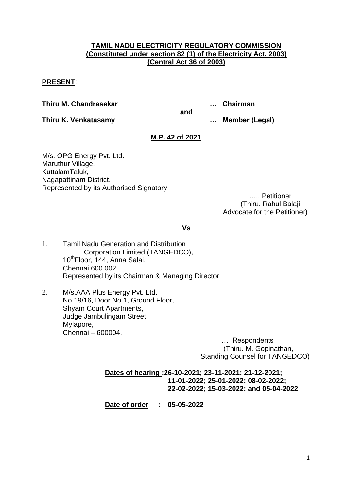# **TAMIL NADU ELECTRICITY REGULATORY COMMISSION (Constituted under section 82 (1) of the Electricity Act, 2003) (Central Act 36 of 2003)**

# **PRESENT**:

**Thiru M. Chandrasekar … Chairman**

**and**

**Thiru K. Venkatasamy … Member (Legal)**

# **M.P. 42 of 2021**

M/s. OPG Energy Pvt. Ltd. Maruthur Village, KuttalamTaluk, Nagapattinam District. Represented by its Authorised Signatory

….. Petitioner (Thiru. Rahul Balaji Advocate for the Petitioner)

**Vs**

- 1. Tamil Nadu Generation and Distribution Corporation Limited (TANGEDCO), 10<sup>th</sup>Floor, 144, Anna Salai, Chennai 600 002. Represented by its Chairman & Managing Director
- 2. M/s.AAA Plus Energy Pvt. Ltd. No.19/16, Door No.1, Ground Floor, Shyam Court Apartments, Judge Jambulingam Street, Mylapore, Chennai – 600004.

 … Respondents (Thiru. M. Gopinathan, Standing Counsel for TANGEDCO)

# **Dates of hearing :26-10-2021; 23-11-2021; 21-12-2021; 11-01-2022; 25-01-2022; 08-02-2022; 22-02-2022; 15-03-2022; and 05-04-2022**

**Date of order : 05-05-2022**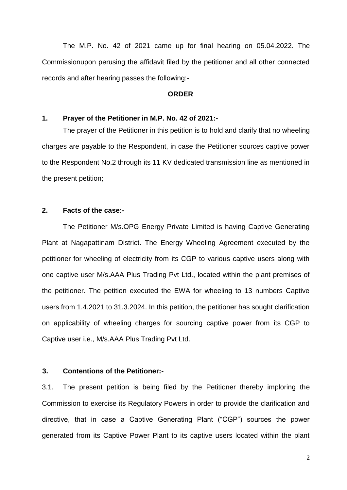The M.P. No. 42 of 2021 came up for final hearing on 05.04.2022. The Commissionupon perusing the affidavit filed by the petitioner and all other connected records and after hearing passes the following:-

#### **ORDER**

### **1. Prayer of the Petitioner in M.P. No. 42 of 2021:-**

The prayer of the Petitioner in this petition is to hold and clarify that no wheeling charges are payable to the Respondent, in case the Petitioner sources captive power to the Respondent No.2 through its 11 KV dedicated transmission line as mentioned in the present petition;

### **2. Facts of the case:-**

The Petitioner M/s.OPG Energy Private Limited is having Captive Generating Plant at Nagapattinam District. The Energy Wheeling Agreement executed by the petitioner for wheeling of electricity from its CGP to various captive users along with one captive user M/s.AAA Plus Trading Pvt Ltd., located within the plant premises of the petitioner. The petition executed the EWA for wheeling to 13 numbers Captive users from 1.4.2021 to 31.3.2024. In this petition, the petitioner has sought clarification on applicability of wheeling charges for sourcing captive power from its CGP to Captive user i.e., M/s.AAA Plus Trading Pvt Ltd.

#### **3. Contentions of the Petitioner:-**

3.1. The present petition is being filed by the Petitioner thereby imploring the Commission to exercise its Regulatory Powers in order to provide the clarification and directive, that in case a Captive Generating Plant ("CGP") sources the power generated from its Captive Power Plant to its captive users located within the plant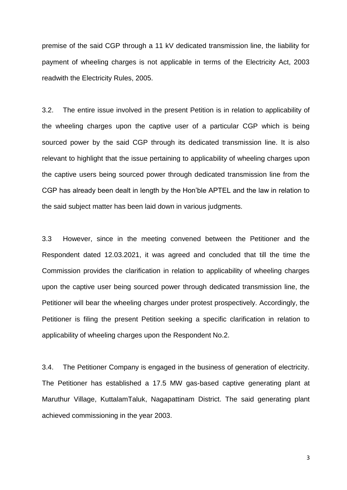premise of the said CGP through a 11 kV dedicated transmission line, the liability for payment of wheeling charges is not applicable in terms of the Electricity Act, 2003 readwith the Electricity Rules, 2005.

3.2. The entire issue involved in the present Petition is in relation to applicability of the wheeling charges upon the captive user of a particular CGP which is being sourced power by the said CGP through its dedicated transmission line. It is also relevant to highlight that the issue pertaining to applicability of wheeling charges upon the captive users being sourced power through dedicated transmission line from the CGP has already been dealt in length by the Hon"ble APTEL and the law in relation to the said subject matter has been laid down in various judgments.

3.3 However, since in the meeting convened between the Petitioner and the Respondent dated 12.03.2021, it was agreed and concluded that till the time the Commission provides the clarification in relation to applicability of wheeling charges upon the captive user being sourced power through dedicated transmission line, the Petitioner will bear the wheeling charges under protest prospectively. Accordingly, the Petitioner is filing the present Petition seeking a specific clarification in relation to applicability of wheeling charges upon the Respondent No.2.

3.4. The Petitioner Company is engaged in the business of generation of electricity. The Petitioner has established a 17.5 MW gas-based captive generating plant at Maruthur Village, KuttalamTaluk, Nagapattinam District. The said generating plant achieved commissioning in the year 2003.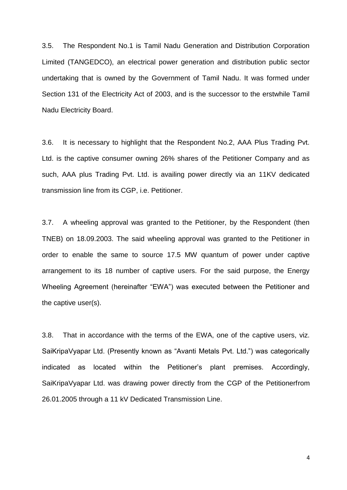3.5. The Respondent No.1 is Tamil Nadu Generation and Distribution Corporation Limited (TANGEDCO), an electrical power generation and distribution public sector undertaking that is owned by the Government of Tamil Nadu. It was formed under Section 131 of the Electricity Act of 2003, and is the successor to the erstwhile Tamil Nadu Electricity Board.

3.6. It is necessary to highlight that the Respondent No.2, AAA Plus Trading Pvt. Ltd. is the captive consumer owning 26% shares of the Petitioner Company and as such, AAA plus Trading Pvt. Ltd. is availing power directly via an 11KV dedicated transmission line from its CGP, i.e. Petitioner.

3.7. A wheeling approval was granted to the Petitioner, by the Respondent (then TNEB) on 18.09.2003. The said wheeling approval was granted to the Petitioner in order to enable the same to source 17.5 MW quantum of power under captive arrangement to its 18 number of captive users. For the said purpose, the Energy Wheeling Agreement (hereinafter "EWA") was executed between the Petitioner and the captive user(s).

3.8. That in accordance with the terms of the EWA, one of the captive users, viz. SaiKripaVyapar Ltd. (Presently known as "Avanti Metals Pvt. Ltd.") was categorically indicated as located within the Petitioner"s plant premises. Accordingly, SaiKripaVyapar Ltd. was drawing power directly from the CGP of the Petitionerfrom 26.01.2005 through a 11 kV Dedicated Transmission Line.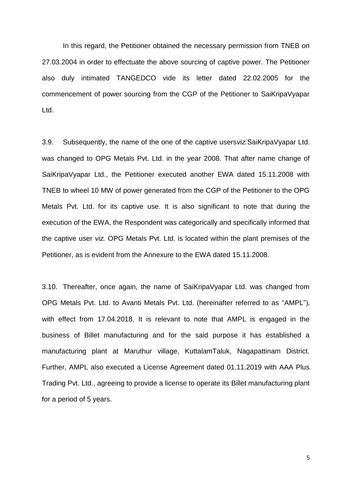In this regard, the Petitioner obtained the necessary permission from TNEB on 27.03.2004 in order to effectuate the above sourcing of captive power. The Petitioner also duly intimated TANGEDCO vide its letter dated 22.02.2005 for the commencement of power sourcing from the CGP of the Petitioner to SaiKripaVyapar Ltd.

3.9. Subsequently, the name of the one of the captive users*viz.*SaiKripaVyapar Ltd. was changed to OPG Metals Pvt. Ltd. in the year 2008. That after name change of SaiKripaVyapar Ltd., the Petitioner executed another EWA dated 15.11.2008 with TNEB to wheel 10 MW of power generated from the CGP of the Petitioner to the OPG Metals Pvt. Ltd. for its captive use. It is also significant to note that during the execution of the EWA, the Respondent was categorically and specifically informed that the captive user *viz.* OPG Metals Pvt. Ltd. is located within the plant premises of the Petitioner, as is evident from the Annexure to the EWA dated 15.11.2008.

3.10. Thereafter, once again, the name of SaiKripaVyapar Ltd. was changed from OPG Metals Pvt. Ltd. to Avanti Metals Pvt. Ltd. (hereinafter referred to as "AMPL"), with effect from 17.04.2018. It is relevant to note that AMPL is engaged in the business of Billet manufacturing and for the said purpose it has established a manufacturing plant at Maruthur village, KuttalamTaluk, Nagapattinam District. Further, AMPL also executed a License Agreement dated 01.11.2019 with AAA Plus Trading Pvt. Ltd., agreeing to provide a license to operate its Billet manufacturing plant for a period of 5 years.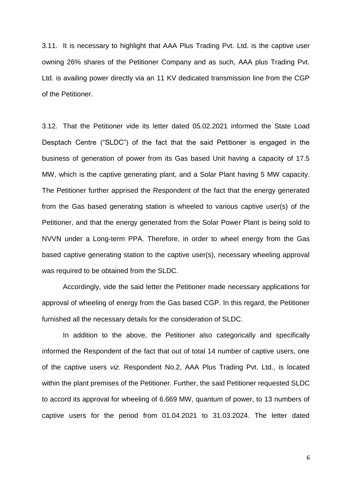3.11. It is necessary to highlight that AAA Plus Trading Pvt. Ltd. is the captive user owning 26% shares of the Petitioner Company and as such, AAA plus Trading Pvt. Ltd. is availing power directly via an 11 KV dedicated transmission line from the CGP of the Petitioner.

3.12. That the Petitioner vide its letter dated 05.02.2021 informed the State Load Desptach Centre ("SLDC") of the fact that the said Petitioner is engaged in the business of generation of power from its Gas based Unit having a capacity of 17.5 MW, which is the captive generating plant, and a Solar Plant having 5 MW capacity. The Petitioner further apprised the Respondent of the fact that the energy generated from the Gas based generating station is wheeled to various captive user(s) of the Petitioner, and that the energy generated from the Solar Power Plant is being sold to NVVN under a Long-term PPA. Therefore, in order to wheel energy from the Gas based captive generating station to the captive user(s), necessary wheeling approval was required to be obtained from the SLDC.

Accordingly, vide the said letter the Petitioner made necessary applications for approval of wheeling of energy from the Gas based CGP. In this regard, the Petitioner furnished all the necessary details for the consideration of SLDC.

In addition to the above, the Petitioner also categorically and specifically informed the Respondent of the fact that out of total 14 number of captive users, one of the captive users *viz*. Respondent No.2, AAA Plus Trading Pvt. Ltd., is located within the plant premises of the Petitioner. Further, the said Petitioner requested SLDC to accord its approval for wheeling of 6.669 MW, quantum of power, to 13 numbers of captive users for the period from 01.04.2021 to 31.03.2024. The letter dated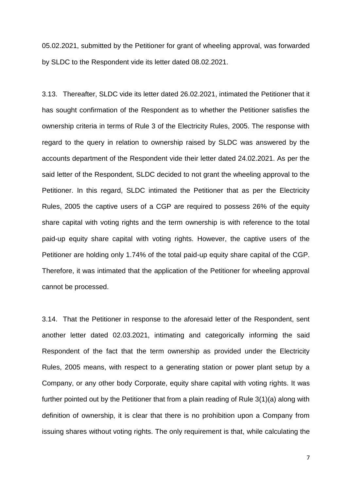05.02.2021, submitted by the Petitioner for grant of wheeling approval, was forwarded by SLDC to the Respondent vide its letter dated 08.02.2021.

3.13. Thereafter, SLDC vide its letter dated 26.02.2021, intimated the Petitioner that it has sought confirmation of the Respondent as to whether the Petitioner satisfies the ownership criteria in terms of Rule 3 of the Electricity Rules, 2005. The response with regard to the query in relation to ownership raised by SLDC was answered by the accounts department of the Respondent vide their letter dated 24.02.2021. As per the said letter of the Respondent, SLDC decided to not grant the wheeling approval to the Petitioner. In this regard, SLDC intimated the Petitioner that as per the Electricity Rules, 2005 the captive users of a CGP are required to possess 26% of the equity share capital with voting rights and the term ownership is with reference to the total paid-up equity share capital with voting rights. However, the captive users of the Petitioner are holding only 1.74% of the total paid-up equity share capital of the CGP. Therefore, it was intimated that the application of the Petitioner for wheeling approval cannot be processed.

3.14. That the Petitioner in response to the aforesaid letter of the Respondent, sent another letter dated 02.03.2021, intimating and categorically informing the said Respondent of the fact that the term ownership as provided under the Electricity Rules, 2005 means, with respect to a generating station or power plant setup by a Company, or any other body Corporate, equity share capital with voting rights. It was further pointed out by the Petitioner that from a plain reading of Rule 3(1)(a) along with definition of ownership, it is clear that there is no prohibition upon a Company from issuing shares without voting rights. The only requirement is that, while calculating the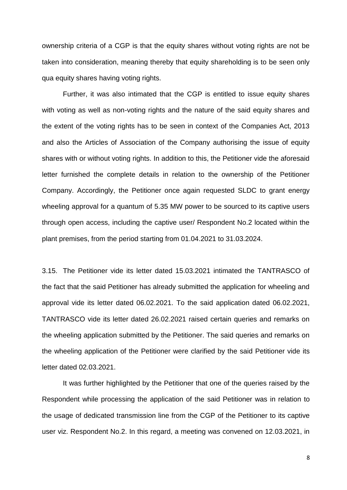ownership criteria of a CGP is that the equity shares without voting rights are not be taken into consideration, meaning thereby that equity shareholding is to be seen only qua equity shares having voting rights.

Further, it was also intimated that the CGP is entitled to issue equity shares with voting as well as non-voting rights and the nature of the said equity shares and the extent of the voting rights has to be seen in context of the Companies Act, 2013 and also the Articles of Association of the Company authorising the issue of equity shares with or without voting rights. In addition to this, the Petitioner vide the aforesaid letter furnished the complete details in relation to the ownership of the Petitioner Company. Accordingly, the Petitioner once again requested SLDC to grant energy wheeling approval for a quantum of 5.35 MW power to be sourced to its captive users through open access, including the captive user/ Respondent No.2 located within the plant premises, from the period starting from 01.04.2021 to 31.03.2024.

3.15. The Petitioner vide its letter dated 15.03.2021 intimated the TANTRASCO of the fact that the said Petitioner has already submitted the application for wheeling and approval vide its letter dated 06.02.2021. To the said application dated 06.02.2021, TANTRASCO vide its letter dated 26.02.2021 raised certain queries and remarks on the wheeling application submitted by the Petitioner. The said queries and remarks on the wheeling application of the Petitioner were clarified by the said Petitioner vide its letter dated 02.03.2021.

It was further highlighted by the Petitioner that one of the queries raised by the Respondent while processing the application of the said Petitioner was in relation to the usage of dedicated transmission line from the CGP of the Petitioner to its captive user viz. Respondent No.2. In this regard, a meeting was convened on 12.03.2021, in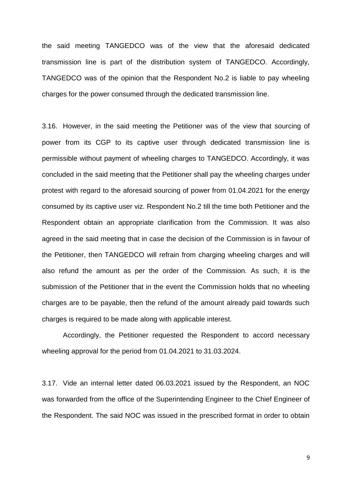the said meeting TANGEDCO was of the view that the aforesaid dedicated transmission line is part of the distribution system of TANGEDCO. Accordingly, TANGEDCO was of the opinion that the Respondent No.2 is liable to pay wheeling charges for the power consumed through the dedicated transmission line.

3.16. However, in the said meeting the Petitioner was of the view that sourcing of power from its CGP to its captive user through dedicated transmission line is permissible without payment of wheeling charges to TANGEDCO. Accordingly, it was concluded in the said meeting that the Petitioner shall pay the wheeling charges under protest with regard to the aforesaid sourcing of power from 01.04.2021 for the energy consumed by its captive user viz. Respondent No.2 till the time both Petitioner and the Respondent obtain an appropriate clarification from the Commission. It was also agreed in the said meeting that in case the decision of the Commission is in favour of the Petitioner, then TANGEDCO will refrain from charging wheeling charges and will also refund the amount as per the order of the Commission. As such, it is the submission of the Petitioner that in the event the Commission holds that no wheeling charges are to be payable, then the refund of the amount already paid towards such charges is required to be made along with applicable interest.

Accordingly, the Petitioner requested the Respondent to accord necessary wheeling approval for the period from 01.04.2021 to 31.03.2024.

3.17. Vide an internal letter dated 06.03.2021 issued by the Respondent, an NOC was forwarded from the office of the Superintending Engineer to the Chief Engineer of the Respondent. The said NOC was issued in the prescribed format in order to obtain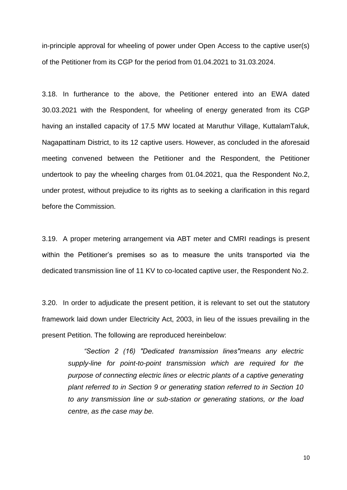in-principle approval for wheeling of power under Open Access to the captive user(s) of the Petitioner from its CGP for the period from 01.04.2021 to 31.03.2024.

3.18. In furtherance to the above, the Petitioner entered into an EWA dated 30.03.2021 with the Respondent, for wheeling of energy generated from its CGP having an installed capacity of 17.5 MW located at Maruthur Village, KuttalamTaluk, Nagapattinam District, to its 12 captive users. However, as concluded in the aforesaid meeting convened between the Petitioner and the Respondent, the Petitioner undertook to pay the wheeling charges from 01.04.2021, qua the Respondent No.2, under protest, without prejudice to its rights as to seeking a clarification in this regard before the Commission.

3.19. A proper metering arrangement via ABT meter and CMRI readings is present within the Petitioner"s premises so as to measure the units transported via the dedicated transmission line of 11 KV to co-located captive user, the Respondent No.2.

3.20. In order to adjudicate the present petition, it is relevant to set out the statutory framework laid down under Electricity Act, 2003, in lieu of the issues prevailing in the present Petition. The following are reproduced hereinbelow:

*"Section 2 (16) "Dedicated transmission lines"means any electric supply-line for point-to-point transmission which are required for the purpose of connecting electric lines or electric plants of a captive generating plant referred to in Section 9 or generating station referred to in Section 10 to any transmission line or sub-station or generating stations, or the load centre, as the case may be.*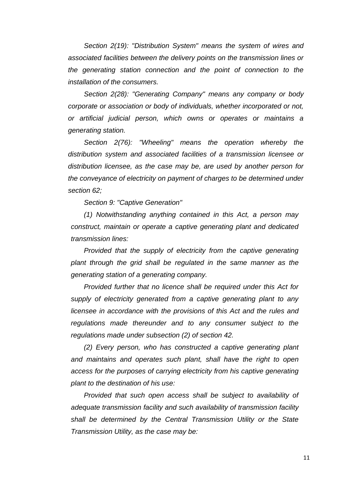*Section 2(19): "Distribution System" means the system of wires and associated facilities between the delivery points on the transmission lines or the generating station connection and the point of connection to the installation of the consumers.*

*Section 2(28): "Generating Company" means any company or body corporate or association or body of individuals, whether incorporated or not, or artificial judicial person, which owns or operates or maintains a generating station.*

*Section 2(76): "Wheeling" means the operation whereby the distribution system and associated facilities of a transmission licensee or distribution licensee, as the case may be, are used by another person for the conveyance of electricity on payment of charges to be determined under section 62;*

*Section 9: "Captive Generation"*

*(1) Notwithstanding anything contained in this Act, a person may construct, maintain or operate a captive generating plant and dedicated transmission lines:*

*Provided that the supply of electricity from the captive generating plant through the grid shall be regulated in the same manner as the generating station of a generating company.*

*Provided further that no licence shall be required under this Act for supply of electricity generated from a captive generating plant to any licensee in accordance with the provisions of this Act and the rules and regulations made thereunder and to any consumer subject to the regulations made under subsection (2) of section 42.*

*(2) Every person, who has constructed a captive generating plant and maintains and operates such plant, shall have the right to open access for the purposes of carrying electricity from his captive generating plant to the destination of his use:*

*Provided that such open access shall be subject to availability of adequate transmission facility and such availability of transmission facility shall be determined by the Central Transmission Utility or the State Transmission Utility, as the case may be:*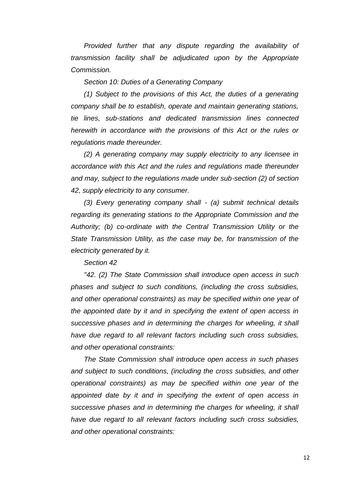*Provided further that any dispute regarding the availability of transmission facility shall be adjudicated upon by the Appropriate Commission.*

*Section 10: Duties of a Generating Company*

*(1) Subject to the provisions of this Act, the duties of a generating company shall be to establish, operate and maintain generating stations, tie lines, sub-stations and dedicated transmission lines connected herewith in accordance with the provisions of this Act or the rules or regulations made thereunder.*

*(2) A generating company may supply electricity to any licensee in accordance with this Act and the rules and regulations made thereunder and may, subject to the regulations made under sub-section (2) of section 42, supply electricity to any consumer.*

*(3) Every generating company shall - (a) submit technical details regarding its generating stations to the Appropriate Commission and the Authority; (b) co-ordinate with the Central Transmission Utility or the State Transmission Utility, as the case may be, for transmission of the electricity generated by it.*

*Section 42*

*"42. (2) The State Commission shall introduce open access in such phases and subject to such conditions, (including the cross subsidies, and other operational constraints) as may be specified within one year of the appointed date by it and in specifying the extent of open access in successive phases and in determining the charges for wheeling, it shall have due regard to all relevant factors including such cross subsidies, and other operational constraints:*

*The State Commission shall introduce open access in such phases and subject to such conditions, (including the cross subsidies, and other operational constraints) as may be specified within one year of the appointed date by it and in specifying the extent of open access in successive phases and in determining the charges for wheeling, it shall have due regard to all relevant factors including such cross subsidies, and other operational constraints:*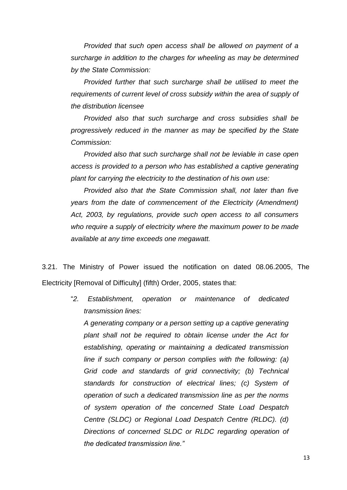*Provided that such open access shall be allowed on payment of a surcharge in addition to the charges for wheeling as may be determined by the State Commission:*

*Provided further that such surcharge shall be utilised to meet the requirements of current level of cross subsidy within the area of supply of the distribution licensee*

*Provided also that such surcharge and cross subsidies shall be progressively reduced in the manner as may be specified by the State Commission:*

*Provided also that such surcharge shall not be leviable in case open access is provided to a person who has established a captive generating plant for carrying the electricity to the destination of his own use:*

*Provided also that the State Commission shall, not later than five years from the date of commencement of the Electricity (Amendment) Act, 2003, by regulations, provide such open access to all consumers who require a supply of electricity where the maximum power to be made available at any time exceeds one megawatt.*

3.21. The Ministry of Power issued the notification on dated 08.06.2005, The Electricity [Removal of Difficulty] (fifth) Order, 2005, states that:

> "*2. Establishment, operation or maintenance of dedicated transmission lines:*

*A generating company or a person setting up a captive generating plant shall not be required to obtain license under the Act for establishing, operating or maintaining a dedicated transmission line if such company or person complies with the following: (a) Grid code and standards of grid connectivity; (b) Technical standards for construction of electrical lines; (c) System of operation of such a dedicated transmission line as per the norms of system operation of the concerned State Load Despatch Centre (SLDC) or Regional Load Despatch Centre (RLDC). (d) Directions of concerned SLDC or RLDC regarding operation of the dedicated transmission line."*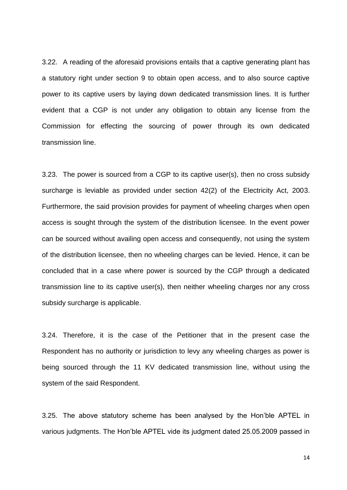3.22. A reading of the aforesaid provisions entails that a captive generating plant has a statutory right under section 9 to obtain open access, and to also source captive power to its captive users by laying down dedicated transmission lines. It is further evident that a CGP is not under any obligation to obtain any license from the Commission for effecting the sourcing of power through its own dedicated transmission line.

3.23. The power is sourced from a CGP to its captive user(s), then no cross subsidy surcharge is leviable as provided under section 42(2) of the Electricity Act, 2003. Furthermore, the said provision provides for payment of wheeling charges when open access is sought through the system of the distribution licensee. In the event power can be sourced without availing open access and consequently, not using the system of the distribution licensee, then no wheeling charges can be levied. Hence, it can be concluded that in a case where power is sourced by the CGP through a dedicated transmission line to its captive user(s), then neither wheeling charges nor any cross subsidy surcharge is applicable.

3.24. Therefore, it is the case of the Petitioner that in the present case the Respondent has no authority or jurisdiction to levy any wheeling charges as power is being sourced through the 11 KV dedicated transmission line, without using the system of the said Respondent.

3.25. The above statutory scheme has been analysed by the Hon"ble APTEL in various judgments. The Hon"ble APTEL vide its judgment dated 25.05.2009 passed in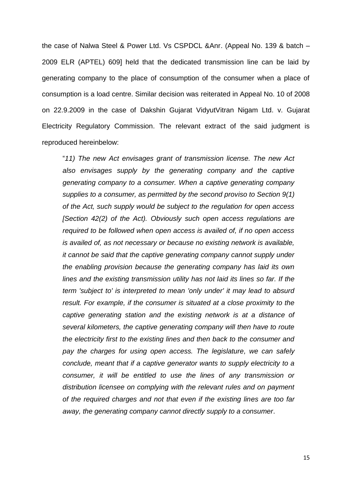the case of Nalwa Steel & Power Ltd. Vs CSPDCL &Anr. (Appeal No. 139 & batch – 2009 ELR (APTEL) 609] held that the dedicated transmission line can be laid by generating company to the place of consumption of the consumer when a place of consumption is a load centre. Similar decision was reiterated in Appeal No. 10 of 2008 on 22.9.2009 in the case of Dakshin Gujarat VidyutVitran Nigam Ltd. v. Gujarat Electricity Regulatory Commission. The relevant extract of the said judgment is reproduced hereinbelow:

"*11) The new Act envisages grant of transmission license. The new Act also envisages supply by the generating company and the captive generating company to a consumer. When a captive generating company supplies to a consumer, as permitted by the second proviso to Section 9(1) of the Act, such supply would be subject to the regulation for open access [Section 42(2) of the Act). Obviously such open access regulations are required to be followed when open access is availed of, if no open access is availed of, as not necessary or because no existing network is available, it cannot be said that the captive generating company cannot supply under the enabling provision because the generating company has laid its own lines and the existing transmission utility has not laid its lines so far. If the term 'subject to' is interpreted to mean 'only under' it may lead to absurd result. For example, if the consumer is situated at a close proximity to the captive generating station and the existing network is at a distance of several kilometers, the captive generating company will then have to route the electricity first to the existing lines and then back to the consumer and pay the charges for using open access. The legislature, we can safely conclude, meant that if a captive generator wants to supply electricity to a consumer, it will be entitled to use the lines of any transmission or distribution licensee on complying with the relevant rules and on payment of the required charges and not that even if the existing lines are too far away, the generating company cannot directly supply to a consumer*.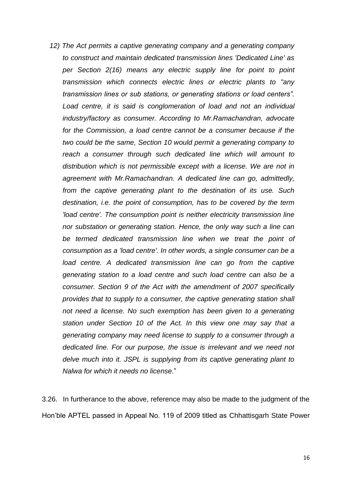*12) The Act permits a captive generating company and a generating company to construct and maintain dedicated transmission lines 'Dedicated Line' as per Section 2(16) means any electric supply line for point to point transmission which connects electric lines or electric plants to "any transmission lines or sub stations, or generating stations or load centers". Load centre, it is said is conglomeration of load and not an individual industry/factory as consumer. According to Mr.Ramachandran, advocate for the Commission, a load centre cannot be a consumer because if the two could be the same, Section 10 would permit a generating company to reach a consumer through such dedicated line which will amount to distribution which is not permissible except with a license. We are not in agreement with Mr.Ramachandran. A dedicated line can go, admittedly, from the captive generating plant to the destination of its use. Such destination, i.e. the point of consumption, has to be covered by the term 'load centre'. The consumption point is neither electricity transmission line nor substation or generating station. Hence, the only way such a line can be termed dedicated transmission line when we treat the point of consumption as a 'load centre'. In other words, a single consumer can be a*  load centre. A dedicated transmission line can go from the captive *generating station to a load centre and such load centre can also be a consumer. Section 9 of the Act with the amendment of 2007 specifically provides that to supply to a consumer, the captive generating station shall not need a license. No such exemption has been given to a generating station under Section 10 of the Act. In this view one may say that a generating company may need license to supply to a consumer through a dedicated line. For our purpose, the issue is irrelevant and we need not delve much into it. JSPL is supplying from its captive generating plant to Nalwa for which it needs no license*."

3.26. In furtherance to the above, reference may also be made to the judgment of the Hon"ble APTEL passed in Appeal No. 119 of 2009 titled as Chhattisgarh State Power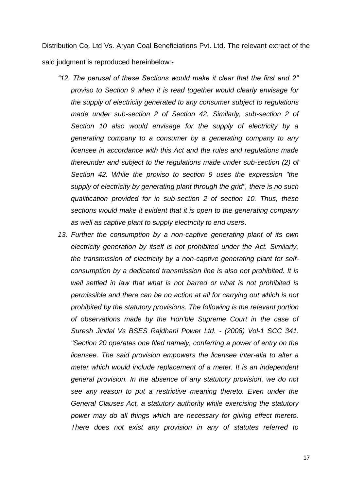Distribution Co. Ltd Vs. Aryan Coal Beneficiations Pvt. Ltd. The relevant extract of the said judgment is reproduced hereinbelow:-

- *"12. The perusal of these Sections would make it clear that the first and 2" proviso to Section 9 when it is read together would clearly envisage for the supply of electricity generated to any consumer subject to regulations made under sub-section 2 of Section 42. Similarly, sub-section 2 of Section 10 also would envisage for the supply of electricity by a generating company to a consumer by a generating company to any licensee in accordance with this Act and the rules and regulations made thereunder and subject to the regulations made under sub-section (2) of Section 42. While the proviso to section 9 uses the expression "the supply of electricity by generating plant through the grid", there is no such qualification provided for in sub-section 2 of section 10. Thus, these sections would make it evident that it is open to the generating company as well as captive plant to supply electricity to end users*.
- *13. Further the consumption by a non-captive generating plant of its own electricity generation by itself is not prohibited under the Act. Similarly, the transmission of electricity by a non-captive generating plant for selfconsumption by a dedicated transmission line is also not prohibited. It is well settled in law that what is not barred or what is not prohibited is permissible and there can be no action at all for carrying out which is not prohibited by the statutory provisions. The following is the relevant portion of observations made by the Hon'ble Supreme Court in the case of Suresh Jindal Vs BSES Rajdhani Power Ltd. - (2008) Vol-1 SCC 341. "Section 20 operates one filed namely, conferring a power of entry on the licensee. The said provision empowers the licensee inter-alia to alter a meter which would include replacement of a meter. It is an independent general provision. In the absence of any statutory provision, we do not see any reason to put a restrictive meaning thereto. Even under the General Clauses Act, a statutory authority while exercising the statutory power may do all things which are necessary for giving effect thereto. There does not exist any provision in any of statutes referred to*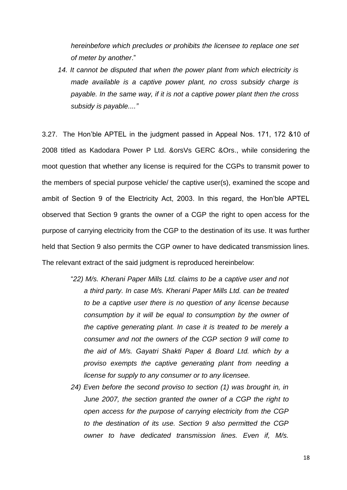*hereinbefore which precludes or prohibits the licensee to replace one set of meter by another*."

*14. It cannot be disputed that when the power plant from which electricity is made available is a captive power plant, no cross subsidy charge is payable. In the same way, if it is not a captive power plant then the cross subsidy is payable...."*

3.27. The Hon"ble APTEL in the judgment passed in Appeal Nos. 171, 172 &10 of 2008 titled as Kadodara Power P Ltd. &orsVs GERC &Ors., while considering the moot question that whether any license is required for the CGPs to transmit power to the members of special purpose vehicle/ the captive user(s), examined the scope and ambit of Section 9 of the Electricity Act, 2003. In this regard, the Hon"ble APTEL observed that Section 9 grants the owner of a CGP the right to open access for the purpose of carrying electricity from the CGP to the destination of its use. It was further held that Section 9 also permits the CGP owner to have dedicated transmission lines. The relevant extract of the said judgment is reproduced hereinbelow:

- "*22) M/s. Kherani Paper Mills Ltd. claims to be a captive user and not a third party. In case M/s. Kherani Paper Mills Ltd. can be treated to be a captive user there is no question of any license because consumption by it will be equal to consumption by the owner of the captive generating plant. In case it is treated to be merely a consumer and not the owners of the CGP section 9 will come to the aid of M/s. Gayatri Shakti Paper & Board Ltd. which by a proviso exempts the captive generating plant from needing a license for supply to any consumer or to any licensee.*
- *24) Even before the second proviso to section (1) was brought in, in June 2007, the section granted the owner of a CGP the right to open access for the purpose of carrying electricity from the CGP to the destination of its use. Section 9 also permitted the CGP owner to have dedicated transmission lines. Even if, M/s.*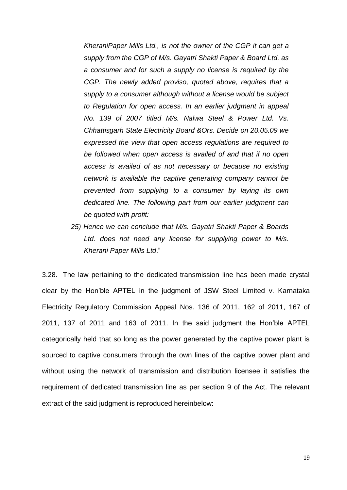*KheraniPaper Mills Ltd., is not the owner of the CGP it can get a supply from the CGP of M/s. Gayatri Shakti Paper & Board Ltd. as a consumer and for such a supply no license is required by the CGP. The newly added proviso, quoted above, requires that a supply to a consumer although without a license would be subject to Regulation for open access. In an earlier judgment in appeal No. 139 of 2007 titled M/s. Nalwa Steel & Power Ltd. Vs. Chhattisgarh State Electricity Board &Ors. Decide on 20.05.09 we expressed the view that open access regulations are required to be followed when open access is availed of and that if no open access is availed of as not necessary or because no existing network is available the captive generating company cannot be prevented from supplying to a consumer by laying its own dedicated line. The following part from our earlier judgment can be quoted with profit:*

*25) Hence we can conclude that M/s. Gayatri Shakti Paper & Boards Ltd. does not need any license for supplying power to M/s. Kherani Paper Mills Ltd*."

3.28. The law pertaining to the dedicated transmission line has been made crystal clear by the Hon"ble APTEL in the judgment of JSW Steel Limited v. Karnataka Electricity Regulatory Commission Appeal Nos. 136 of 2011, 162 of 2011, 167 of 2011, 137 of 2011 and 163 of 2011. In the said judgment the Hon"ble APTEL categorically held that so long as the power generated by the captive power plant is sourced to captive consumers through the own lines of the captive power plant and without using the network of transmission and distribution licensee it satisfies the requirement of dedicated transmission line as per section 9 of the Act. The relevant extract of the said judgment is reproduced hereinbelow: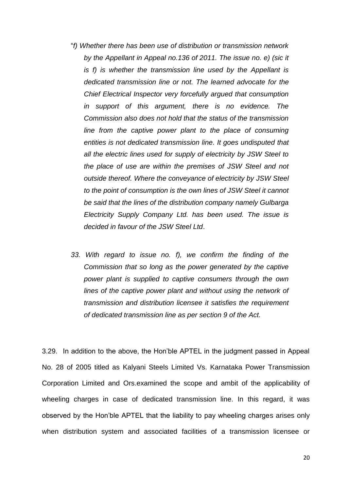- "*f) Whether there has been use of distribution or transmission network by the Appellant in Appeal no.136 of 2011. The issue no. e) (sic it is f) is whether the transmission line used by the Appellant is dedicated transmission line or not. The learned advocate for the Chief Electrical Inspector very forcefully argued that consumption in support of this argument, there is no evidence. The Commission also does not hold that the status of the transmission line from the captive power plant to the place of consuming entities is not dedicated transmission line. It goes undisputed that all the electric lines used for supply of electricity by JSW Steel to the place of use are within the premises of JSW Steel and not outside thereof. Where the conveyance of electricity by JSW Steel to the point of consumption is the own lines of JSW Steel it cannot be said that the lines of the distribution company namely Gulbarga Electricity Supply Company Ltd. has been used. The issue is decided in favour of the JSW Steel Ltd*.
- *33. With regard to issue no. f), we confirm the finding of the Commission that so long as the power generated by the captive power plant is supplied to captive consumers through the own lines of the captive power plant and without using the network of transmission and distribution licensee it satisfies the requirement of dedicated transmission line as per section 9 of the Act.*

3.29. In addition to the above, the Hon"ble APTEL in the judgment passed in Appeal No. 28 of 2005 titled as Kalyani Steels Limited Vs. Karnataka Power Transmission Corporation Limited and Ors.examined the scope and ambit of the applicability of wheeling charges in case of dedicated transmission line. In this regard, it was observed by the Hon"ble APTEL that the liability to pay wheeling charges arises only when distribution system and associated facilities of a transmission licensee or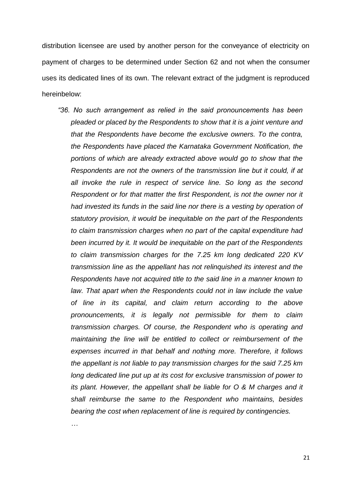distribution licensee are used by another person for the conveyance of electricity on payment of charges to be determined under Section 62 and not when the consumer uses its dedicated lines of its own. The relevant extract of the judgment is reproduced hereinbelow:

*"36. No such arrangement as relied in the said pronouncements has been pleaded or placed by the Respondents to show that it is a joint venture and that the Respondents have become the exclusive owners. To the contra, the Respondents have placed the Karnataka Government Notification, the portions of which are already extracted above would go to show that the Respondents are not the owners of the transmission line but it could, if at all invoke the rule in respect of service line. So long as the second Respondent or for that matter the first Respondent, is not the owner nor it had invested its funds in the said line nor there is a vesting by operation of statutory provision, it would be inequitable on the part of the Respondents to claim transmission charges when no part of the capital expenditure had been incurred by it. It would be inequitable on the part of the Respondents to claim transmission charges for the 7.25 km long dedicated 220 KV transmission line as the appellant has not relinquished its interest and the Respondents have not acquired title to the said line in a manner known to law. That apart when the Respondents could not in law include the value of line in its capital, and claim return according to the above pronouncements, it is legally not permissible for them to claim transmission charges. Of course, the Respondent who is operating and maintaining the line will be entitled to collect or reimbursement of the expenses incurred in that behalf and nothing more. Therefore, it follows the appellant is not liable to pay transmission charges for the said 7.25 km long dedicated line put up at its cost for exclusive transmission of power to its plant. However, the appellant shall be liable for O & M charges and it shall reimburse the same to the Respondent who maintains, besides bearing the cost when replacement of line is required by contingencies.*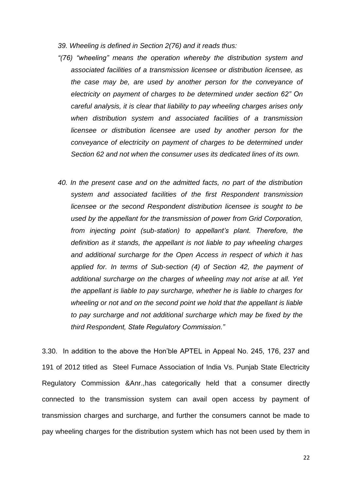- *39. Wheeling is defined in Section 2(76) and it reads thus:*
- *"(76) "wheeling" means the operation whereby the distribution system and associated facilities of a transmission licensee or distribution licensee, as the case may be, are used by another person for the conveyance of electricity on payment of charges to be determined under section 62" On careful analysis, it is clear that liability to pay wheeling charges arises only when distribution system and associated facilities of a transmission licensee or distribution licensee are used by another person for the conveyance of electricity on payment of charges to be determined under Section 62 and not when the consumer uses its dedicated lines of its own.*
- *40. In the present case and on the admitted facts, no part of the distribution system and associated facilities of the first Respondent transmission licensee or the second Respondent distribution licensee is sought to be used by the appellant for the transmission of power from Grid Corporation, from injecting point (sub-station) to appellant's plant. Therefore, the definition as it stands, the appellant is not liable to pay wheeling charges and additional surcharge for the Open Access in respect of which it has applied for. In terms of Sub-section (4) of Section 42, the payment of additional surcharge on the charges of wheeling may not arise at all. Yet the appellant is liable to pay surcharge, whether he is liable to charges for wheeling or not and on the second point we hold that the appellant is liable to pay surcharge and not additional surcharge which may be fixed by the third Respondent, State Regulatory Commission."*

3.30. In addition to the above the Hon"ble APTEL in Appeal No. 245, 176, 237 and 191 of 2012 titled as Steel Furnace Association of India Vs. Punjab State Electricity Regulatory Commission &Anr.,has categorically held that a consumer directly connected to the transmission system can avail open access by payment of transmission charges and surcharge, and further the consumers cannot be made to pay wheeling charges for the distribution system which has not been used by them in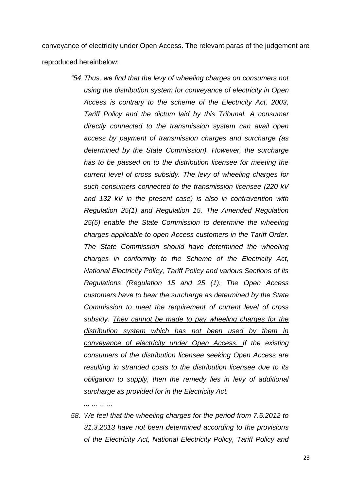conveyance of electricity under Open Access. The relevant paras of the judgement are reproduced hereinbelow:

> *"54.Thus, we find that the levy of wheeling charges on consumers not using the distribution system for conveyance of electricity in Open Access is contrary to the scheme of the Electricity Act, 2003, Tariff Policy and the dictum laid by this Tribunal. A consumer directly connected to the transmission system can avail open access by payment of transmission charges and surcharge (as determined by the State Commission). However, the surcharge has to be passed on to the distribution licensee for meeting the current level of cross subsidy. The levy of wheeling charges for such consumers connected to the transmission licensee (220 kV and 132 kV in the present case) is also in contravention with Regulation 25(1) and Regulation 15. The Amended Regulation 25(5) enable the State Commission to determine the wheeling charges applicable to open Access customers in the Tariff Order. The State Commission should have determined the wheeling charges in conformity to the Scheme of the Electricity Act, National Electricity Policy, Tariff Policy and various Sections of its Regulations (Regulation 15 and 25 (1). The Open Access customers have to bear the surcharge as determined by the State Commission to meet the requirement of current level of cross subsidy. They cannot be made to pay wheeling charges for the distribution system which has not been used by them in conveyance of electricity under Open Access. If the existing consumers of the distribution licensee seeking Open Access are resulting in stranded costs to the distribution licensee due to its obligation to supply, then the remedy lies in levy of additional surcharge as provided for in the Electricity Act.*

*... ... ... ...*

*58. We feel that the wheeling charges for the period from 7.5.2012 to 31.3.2013 have not been determined according to the provisions of the Electricity Act, National Electricity Policy, Tariff Policy and*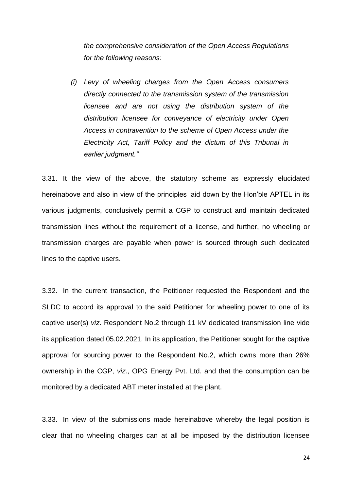*the comprehensive consideration of the Open Access Regulations for the following reasons:*

*(i) Levy of wheeling charges from the Open Access consumers directly connected to the transmission system of the transmission licensee and are not using the distribution system of the distribution licensee for conveyance of electricity under Open Access in contravention to the scheme of Open Access under the Electricity Act, Tariff Policy and the dictum of this Tribunal in earlier judgment."*

3.31. It the view of the above, the statutory scheme as expressly elucidated hereinabove and also in view of the principles laid down by the Hon"ble APTEL in its various judgments, conclusively permit a CGP to construct and maintain dedicated transmission lines without the requirement of a license, and further, no wheeling or transmission charges are payable when power is sourced through such dedicated lines to the captive users.

3.32. In the current transaction, the Petitioner requested the Respondent and the SLDC to accord its approval to the said Petitioner for wheeling power to one of its captive user(s) *viz*. Respondent No.2 through 11 kV dedicated transmission line vide its application dated 05.02.2021. In its application, the Petitioner sought for the captive approval for sourcing power to the Respondent No.2, which owns more than 26% ownership in the CGP, *viz*., OPG Energy Pvt. Ltd. and that the consumption can be monitored by a dedicated ABT meter installed at the plant.

3.33. In view of the submissions made hereinabove whereby the legal position is clear that no wheeling charges can at all be imposed by the distribution licensee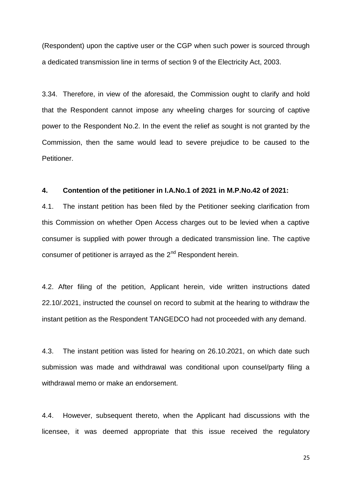(Respondent) upon the captive user or the CGP when such power is sourced through a dedicated transmission line in terms of section 9 of the Electricity Act, 2003.

3.34. Therefore, in view of the aforesaid, the Commission ought to clarify and hold that the Respondent cannot impose any wheeling charges for sourcing of captive power to the Respondent No.2. In the event the relief as sought is not granted by the Commission, then the same would lead to severe prejudice to be caused to the Petitioner.

#### **4. Contention of the petitioner in I.A.No.1 of 2021 in M.P.No.42 of 2021:**

4.1. The instant petition has been filed by the Petitioner seeking clarification from this Commission on whether Open Access charges out to be levied when a captive consumer is supplied with power through a dedicated transmission line. The captive consumer of petitioner is arrayed as the  $2^{nd}$  Respondent herein.

4.2. After filing of the petition, Applicant herein, vide written instructions dated 22.10/.2021, instructed the counsel on record to submit at the hearing to withdraw the instant petition as the Respondent TANGEDCO had not proceeded with any demand.

4.3. The instant petition was listed for hearing on 26.10.2021, on which date such submission was made and withdrawal was conditional upon counsel/party filing a withdrawal memo or make an endorsement.

4.4. However, subsequent thereto, when the Applicant had discussions with the licensee, it was deemed appropriate that this issue received the regulatory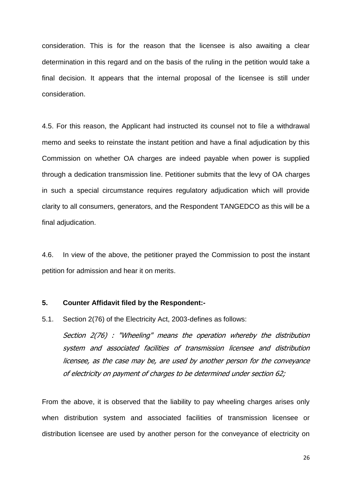consideration. This is for the reason that the licensee is also awaiting a clear determination in this regard and on the basis of the ruling in the petition would take a final decision. It appears that the internal proposal of the licensee is still under consideration.

4.5. For this reason, the Applicant had instructed its counsel not to file a withdrawal memo and seeks to reinstate the instant petition and have a final adjudication by this Commission on whether OA charges are indeed payable when power is supplied through a dedication transmission line. Petitioner submits that the levy of OA charges in such a special circumstance requires regulatory adjudication which will provide clarity to all consumers, generators, and the Respondent TANGEDCO as this will be a final adjudication.

4.6. In view of the above, the petitioner prayed the Commission to post the instant petition for admission and hear it on merits.

### **5. Counter Affidavit filed by the Respondent:-**

5.1. Section 2(76) of the Electricity Act, 2003-defines as follows:

Section 2(76) : "Wheeling" means the operation whereby the distribution system and associated facilities of transmission licensee and distribution licensee, as the case may be, are used by another person for the conveyance of electricity on payment of charges to be determined under section 62;

From the above, it is observed that the liability to pay wheeling charges arises only when distribution system and associated facilities of transmission licensee or distribution licensee are used by another person for the conveyance of electricity on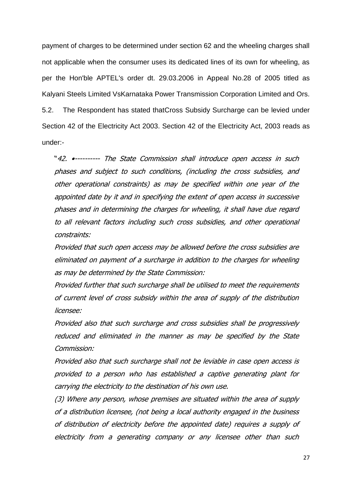payment of charges to be determined under section 62 and the wheeling charges shall not applicable when the consumer uses its dedicated lines of its own for wheeling, as per the Hon'ble APTEL's order dt. 29.03.2006 in Appeal No.28 of 2005 titled as Kalyani Steels Limited VsKarnataka Power Transmission Corporation Limited and Ors. 5.2. The Respondent has stated thatCross Subsidy Surcharge can be levied under Section 42 of the Electricity Act 2003. Section 42 of the Electricity Act, 2003 reads as under:-

"42. •---------- The State Commission shall introduce open access in such phases and subject to such conditions, (including the cross subsidies, and other operational constraints) as may be specified within one year of the appointed date by it and in specifying the extent of open access in successive phases and in determining the charges for wheeling, it shall have due regard to all relevant factors including such cross subsidies, and other operational constraints:

Provided that such open access may be allowed before the cross subsidies are eliminated on payment of a surcharge in addition to the charges for wheeling as may be determined by the State Commission:

Provided further that such surcharge shall be utilised to meet the requirements of current level of cross subsidy within the area of supply of the distribution licensee:

Provided also that such surcharge and cross subsidies shall be progressively reduced and eliminated in the manner as may be specified by the State Commission:

Provided also that such surcharge shall not be leviable in case open access is provided to a person who has established a captive generating plant for carrying the electricity to the destination of his own use.

(3) Where any person, whose premises are situated within the area of supply of a distribution licensee, (not being a local authority engaged in the business of distribution of electricity before the appointed date) requires a supply of electricity from a generating company or any licensee other than such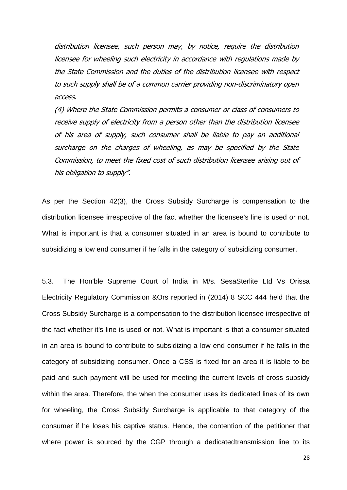distribution licensee, such person may, by notice, require the distribution licensee for wheeling such electricity in accordance with regulations made by the State Commission and the duties of the distribution licensee with respect to such supply shall be of a common carrier providing non-discriminatory open access.

(4) Where the State Commission permits a consumer or class of consumers to receive supply of electricity from a person other than the distribution licensee of his area of supply, such consumer shall be liable to pay an additional surcharge on the charges of wheeling, as may be specified by the State Commission, to meet the fixed cost of such distribution licensee arising out of his obligation to supply".

As per the Section 42(3), the Cross Subsidy Surcharge is compensation to the distribution licensee irrespective of the fact whether the licensee's line is used or not. What is important is that a consumer situated in an area is bound to contribute to subsidizing a low end consumer if he falls in the category of subsidizing consumer.

5.3. The Hon'ble Supreme Court of India in M/s. SesaSterlite Ltd Vs Orissa Electricity Regulatory Commission &Ors reported in (2014) 8 SCC 444 held that the Cross Subsidy Surcharge is a compensation to the distribution licensee irrespective of the fact whether it's line is used or not. What is important is that a consumer situated in an area is bound to contribute to subsidizing a low end consumer if he falls in the category of subsidizing consumer. Once a CSS is fixed for an area it is liable to be paid and such payment will be used for meeting the current levels of cross subsidy within the area. Therefore, the when the consumer uses its dedicated lines of its own for wheeling, the Cross Subsidy Surcharge is applicable to that category of the consumer if he loses his captive status. Hence, the contention of the petitioner that where power is sourced by the CGP through a dedicatedtransmission line to its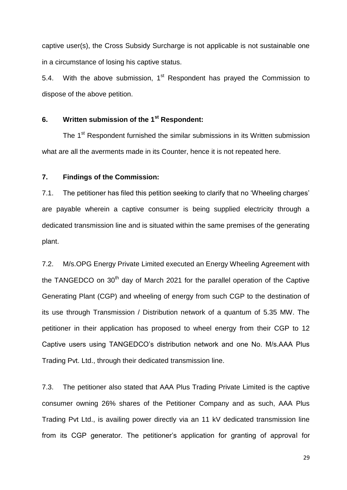captive user(s), the Cross Subsidy Surcharge is not applicable is not sustainable one in a circumstance of losing his captive status.

5.4. With the above submission,  $1<sup>st</sup>$  Respondent has prayed the Commission to dispose of the above petition.

# **6. Written submission of the 1st Respondent:**

The 1<sup>st</sup> Respondent furnished the similar submissions in its Written submission what are all the averments made in its Counter, hence it is not repeated here.

## **7. Findings of the Commission:**

7.1. The petitioner has filed this petition seeking to clarify that no "Wheeling charges" are payable wherein a captive consumer is being supplied electricity through a dedicated transmission line and is situated within the same premises of the generating plant.

7.2. M/s.OPG Energy Private Limited executed an Energy Wheeling Agreement with the TANGEDCO on 30<sup>th</sup> day of March 2021 for the parallel operation of the Captive Generating Plant (CGP) and wheeling of energy from such CGP to the destination of its use through Transmission / Distribution network of a quantum of 5.35 MW. The petitioner in their application has proposed to wheel energy from their CGP to 12 Captive users using TANGEDCO"s distribution network and one No. M/s.AAA Plus Trading Pvt. Ltd., through their dedicated transmission line.

7.3. The petitioner also stated that AAA Plus Trading Private Limited is the captive consumer owning 26% shares of the Petitioner Company and as such, AAA Plus Trading Pvt Ltd., is availing power directly via an 11 kV dedicated transmission line from its CGP generator. The petitioner's application for granting of approval for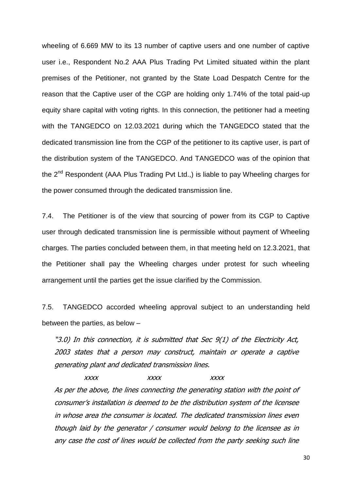wheeling of 6.669 MW to its 13 number of captive users and one number of captive user i.e., Respondent No.2 AAA Plus Trading Pvt Limited situated within the plant premises of the Petitioner, not granted by the State Load Despatch Centre for the reason that the Captive user of the CGP are holding only 1.74% of the total paid-up equity share capital with voting rights. In this connection, the petitioner had a meeting with the TANGEDCO on 12.03.2021 during which the TANGEDCO stated that the dedicated transmission line from the CGP of the petitioner to its captive user, is part of the distribution system of the TANGEDCO. And TANGEDCO was of the opinion that the  $2^{nd}$  Respondent (AAA Plus Trading Pvt Ltd.,) is liable to pay Wheeling charges for the power consumed through the dedicated transmission line.

7.4. The Petitioner is of the view that sourcing of power from its CGP to Captive user through dedicated transmission line is permissible without payment of Wheeling charges. The parties concluded between them, in that meeting held on 12.3.2021, that the Petitioner shall pay the Wheeling charges under protest for such wheeling arrangement until the parties get the issue clarified by the Commission.

7.5. TANGEDCO accorded wheeling approval subject to an understanding held between the parties, as below –

"3.0) In this connection, it is submitted that Sec 9(1) of the Electricity Act, 2003 states that a person may construct, maintain or operate a captive generating plant and dedicated transmission lines.

xxxx xxxx xxxx As per the above, the lines connecting the generating station with the point of consumer's installation is deemed to be the distribution system of the licensee in whose area the consumer is located. The dedicated transmission lines even though laid by the generator / consumer would belong to the licensee as in any case the cost of lines would be collected from the party seeking such line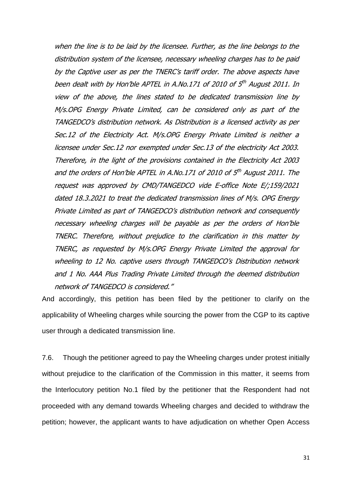when the line is to be laid by the licensee. Further, as the line belongs to the distribution system of the licensee, necessary wheeling charges has to be paid by the Captive user as per the TNERC's tariff order. The above aspects have been dealt with by Hon'ble APTEL in A.No.171 of 2010 of 5<sup>th</sup> August 2011. In view of the above, the lines stated to be dedicated transmission line by M/s.OPG Energy Private Limited, can be considered only as part of the TANGEDCO's distribution network. As Distribution is a licensed activity as per Sec.12 of the Electricity Act. M/s.OPG Energy Private Limited is neither a licensee under Sec.12 nor exempted under Sec.13 of the electricity Act 2003. Therefore, in the light of the provisions contained in the Electricity Act 2003 and the orders of Hon'ble APTEL in A.No.171 of 2010 of 5<sup>th</sup> August 2011. The request was approved by CMD/TANGEDCO vide E-office Note E/;159/2021 dated 18.3.2021 to treat the dedicated transmission lines of M/s. OPG Energy Private Limited as part of TANGEDCO's distribution network and consequently necessary wheeling charges will be payable as per the orders of Hon'ble TNERC. Therefore, without prejudice to the clarification in this matter by TNERC, as requested by M/s.OPG Energy Private Limited the approval for wheeling to 12 No. captive users through TANGEDCO's Distribution network and 1 No. AAA Plus Trading Private Limited through the deemed distribution network of TANGEDCO is considered."

And accordingly, this petition has been filed by the petitioner to clarify on the applicability of Wheeling charges while sourcing the power from the CGP to its captive user through a dedicated transmission line.

7.6. Though the petitioner agreed to pay the Wheeling charges under protest initially without prejudice to the clarification of the Commission in this matter, it seems from the Interlocutory petition No.1 filed by the petitioner that the Respondent had not proceeded with any demand towards Wheeling charges and decided to withdraw the petition; however, the applicant wants to have adjudication on whether Open Access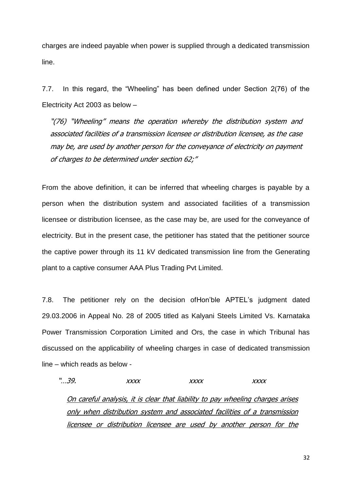charges are indeed payable when power is supplied through a dedicated transmission line.

7.7. In this regard, the "Wheeling" has been defined under Section 2(76) of the Electricity Act 2003 as below –

"(76) "Wheeling" means the operation whereby the distribution system and associated facilities of a transmission licensee or distribution licensee, as the case may be, are used by another person for the conveyance of electricity on payment of charges to be determined under section 62;"

From the above definition, it can be inferred that wheeling charges is payable by a person when the distribution system and associated facilities of a transmission licensee or distribution licensee, as the case may be, are used for the conveyance of electricity. But in the present case, the petitioner has stated that the petitioner source the captive power through its 11 kV dedicated transmission line from the Generating plant to a captive consumer AAA Plus Trading Pvt Limited.

7.8. The petitioner rely on the decision ofHon"ble APTEL"s judgment dated 29.03.2006 in Appeal No. 28 of 2005 titled as Kalyani Steels Limited Vs. Karnataka Power Transmission Corporation Limited and Ors, the case in which Tribunal has discussed on the applicability of wheeling charges in case of dedicated transmission line – which reads as below -

"…39. xxxx xxxx xxxx On careful analysis, it is clear that liability to pay wheeling charges arises only when distribution system and associated facilities of a transmission licensee or distribution licensee are used by another person for the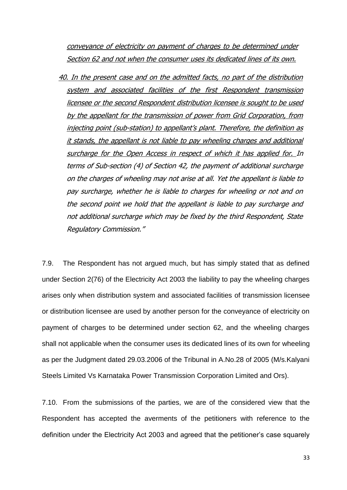conveyance of electricity on payment of charges to be determined under Section 62 and not when the consumer uses its dedicated lines of its own.

40. In the present case and on the admitted facts, no part of the distribution system and associated facilities of the first Respondent transmission licensee or the second Respondent distribution licensee is sought to be used by the appellant for the transmission of power from Grid Corporation, from injecting point (sub-station) to appellant's plant. Therefore, the definition as it stands, the appellant is not liable to pay wheeling charges and additional surcharge for the Open Access in respect of which it has applied for. In terms of Sub-section (4) of Section 42, the payment of additional surcharge on the charges of wheeling may not arise at all. Yet the appellant is liable to pay surcharge, whether he is liable to charges for wheeling or not and on the second point we hold that the appellant is liable to pay surcharge and not additional surcharge which may be fixed by the third Respondent, State Regulatory Commission."

7.9. The Respondent has not argued much, but has simply stated that as defined under Section 2(76) of the Electricity Act 2003 the liability to pay the wheeling charges arises only when distribution system and associated facilities of transmission licensee or distribution licensee are used by another person for the conveyance of electricity on payment of charges to be determined under section 62, and the wheeling charges shall not applicable when the consumer uses its dedicated lines of its own for wheeling as per the Judgment dated 29.03.2006 of the Tribunal in A.No.28 of 2005 (M/s.Kalyani Steels Limited Vs Karnataka Power Transmission Corporation Limited and Ors).

7.10. From the submissions of the parties, we are of the considered view that the Respondent has accepted the averments of the petitioners with reference to the definition under the Electricity Act 2003 and agreed that the petitioner"s case squarely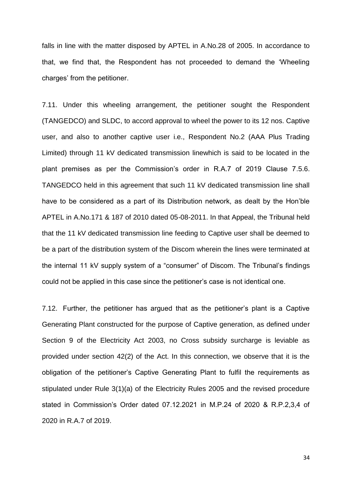falls in line with the matter disposed by APTEL in A.No.28 of 2005. In accordance to that, we find that, the Respondent has not proceeded to demand the "Wheeling charges" from the petitioner.

7.11. Under this wheeling arrangement, the petitioner sought the Respondent (TANGEDCO) and SLDC, to accord approval to wheel the power to its 12 nos. Captive user, and also to another captive user i.e., Respondent No.2 (AAA Plus Trading Limited) through 11 kV dedicated transmission linewhich is said to be located in the plant premises as per the Commission's order in R.A.7 of 2019 Clause 7.5.6. TANGEDCO held in this agreement that such 11 kV dedicated transmission line shall have to be considered as a part of its Distribution network, as dealt by the Hon"ble APTEL in A.No.171 & 187 of 2010 dated 05-08-2011. In that Appeal, the Tribunal held that the 11 kV dedicated transmission line feeding to Captive user shall be deemed to be a part of the distribution system of the Discom wherein the lines were terminated at the internal 11 kV supply system of a "consumer" of Discom. The Tribunal's findings could not be applied in this case since the petitioner"s case is not identical one.

7.12. Further, the petitioner has argued that as the petitioner"s plant is a Captive Generating Plant constructed for the purpose of Captive generation, as defined under Section 9 of the Electricity Act 2003, no Cross subsidy surcharge is leviable as provided under section 42(2) of the Act. In this connection, we observe that it is the obligation of the petitioner"s Captive Generating Plant to fulfil the requirements as stipulated under Rule 3(1)(a) of the Electricity Rules 2005 and the revised procedure stated in Commission"s Order dated 07.12.2021 in M.P.24 of 2020 & R.P.2,3,4 of 2020 in R.A.7 of 2019.